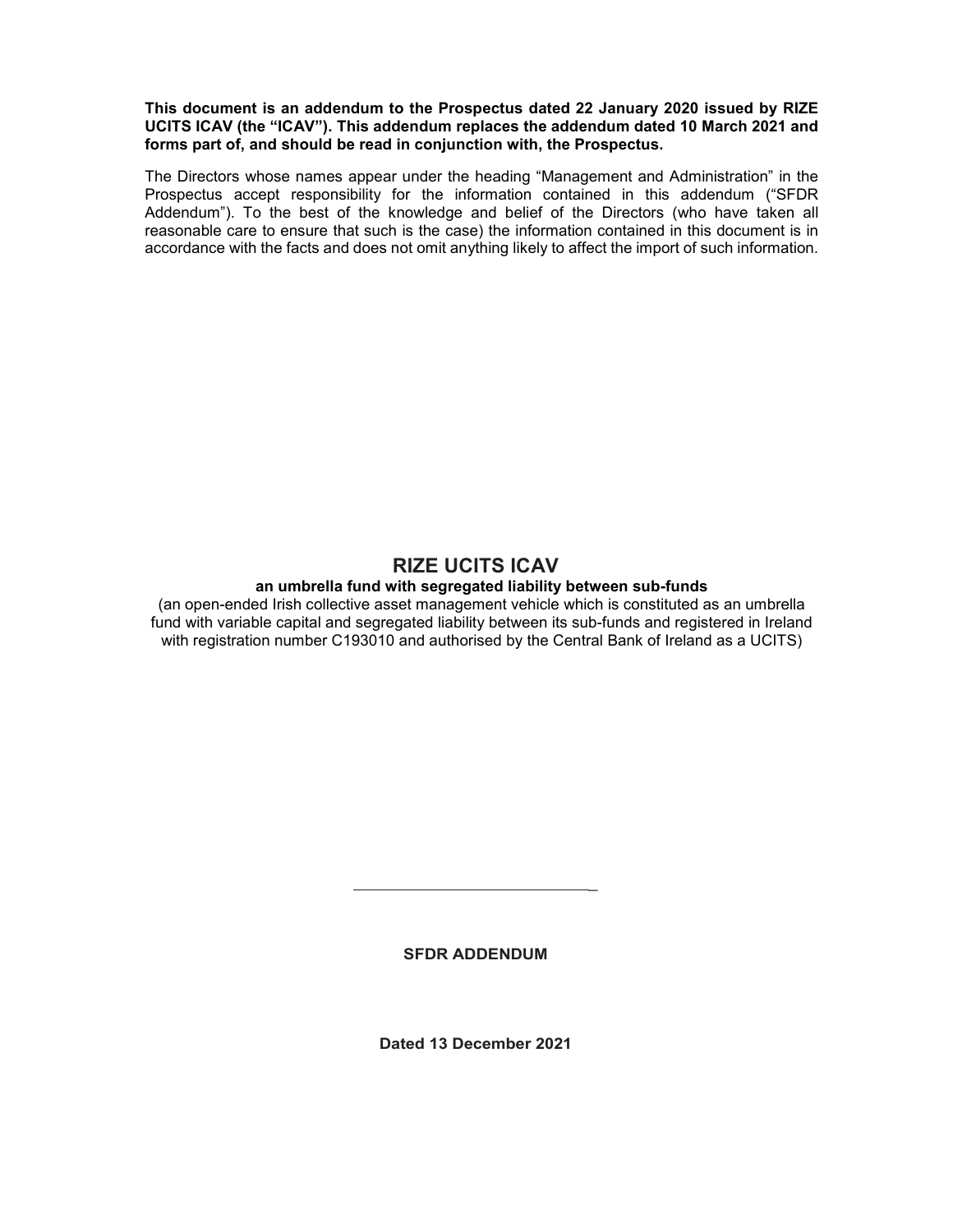# **This document is an addendum to the Prospectus dated 22 January 2020 issued by RIZE UCITS ICAV (the "ICAV"). This addendum replaces the addendum dated 10 March 2021 and forms part of, and should be read in conjunction with, the Prospectus.**

The Directors whose names appear under the heading "Management and Administration" in the Prospectus accept responsibility for the information contained in this addendum ("SFDR Addendum"). To the best of the knowledge and belief of the Directors (who have taken all reasonable care to ensure that such is the case) the information contained in this document is in accordance with the facts and does not omit anything likely to affect the import of such information.

# **RIZE UCITS ICAV an umbrella fund with segregated liability between sub-funds**

(an open-ended Irish collective asset management vehicle which is constituted as an umbrella fund with variable capital and segregated liability between its sub-funds and registered in Ireland with registration number C193010 and authorised by the Central Bank of Ireland as a UCITS)

**SFDR ADDENDUM** 

 $\overline{a}$ 

**Dated 13 December 2021**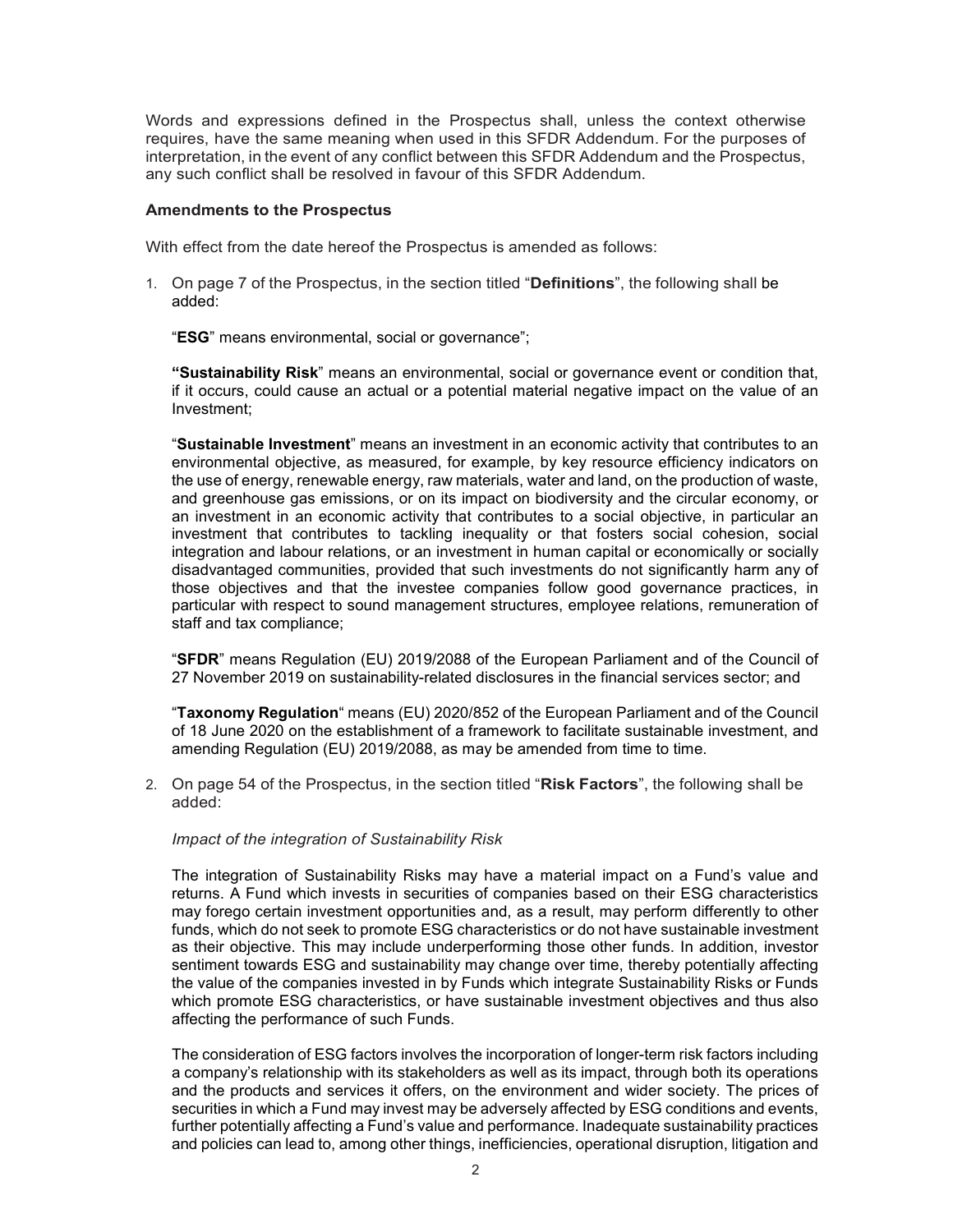Words and expressions defined in the Prospectus shall, unless the context otherwise requires, have the same meaning when used in this SFDR Addendum. For the purposes of interpretation, in the event of any conflict between this SFDR Addendum and the Prospectus, any such conflict shall be resolved in favour of this SFDR Addendum.

# **Amendments to the Prospectus**

With effect from the date hereof the Prospectus is amended as follows:

1. On page 7 of the Prospectus, in the section titled "**Definitions**", the following shall be added:

"**ESG**" means environmental, social or governance";

**"Sustainability Risk**" means an environmental, social or governance event or condition that, if it occurs, could cause an actual or a potential material negative impact on the value of an Investment;

"**Sustainable Investment**" means an investment in an economic activity that contributes to an environmental objective, as measured, for example, by key resource efficiency indicators on the use of energy, renewable energy, raw materials, water and land, on the production of waste, and greenhouse gas emissions, or on its impact on biodiversity and the circular economy, or an investment in an economic activity that contributes to a social objective, in particular an investment that contributes to tackling inequality or that fosters social cohesion, social integration and labour relations, or an investment in human capital or economically or socially disadvantaged communities, provided that such investments do not significantly harm any of those objectives and that the investee companies follow good governance practices, in particular with respect to sound management structures, employee relations, remuneration of staff and tax compliance;

"**SFDR**" means Regulation (EU) 2019/2088 of the European Parliament and of the Council of 27 November 2019 on sustainability-related disclosures in the financial services sector; and

"**Taxonomy Regulation**" means (EU) 2020/852 of the European Parliament and of the Council of 18 June 2020 on the establishment of a framework to facilitate sustainable investment, and amending Regulation (EU) 2019/2088, as may be amended from time to time.

2. On page 54 of the Prospectus, in the section titled "**Risk Factors**", the following shall be added:

# *Impact of the integration of Sustainability Risk*

The integration of Sustainability Risks may have a material impact on a Fund's value and returns. A Fund which invests in securities of companies based on their ESG characteristics may forego certain investment opportunities and, as a result, may perform differently to other funds, which do not seek to promote ESG characteristics or do not have sustainable investment as their objective. This may include underperforming those other funds. In addition, investor sentiment towards ESG and sustainability may change over time, thereby potentially affecting the value of the companies invested in by Funds which integrate Sustainability Risks or Funds which promote ESG characteristics, or have sustainable investment objectives and thus also affecting the performance of such Funds.

The consideration of ESG factors involves the incorporation of longer-term risk factors including a company's relationship with its stakeholders as well as its impact, through both its operations and the products and services it offers, on the environment and wider society. The prices of securities in which a Fund may invest may be adversely affected by ESG conditions and events, further potentially affecting a Fund's value and performance. Inadequate sustainability practices and policies can lead to, among other things, inefficiencies, operational disruption, litigation and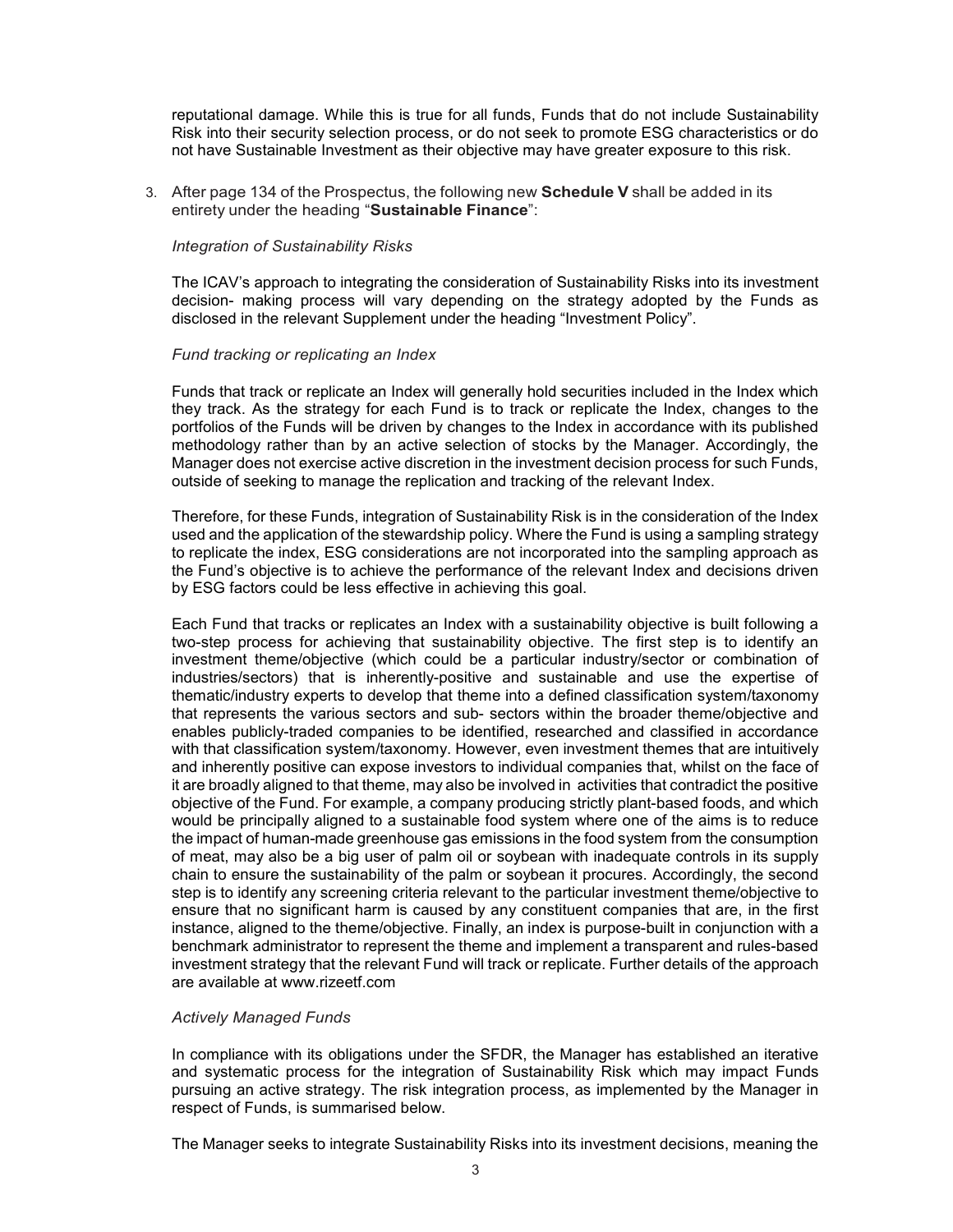reputational damage. While this is true for all funds, Funds that do not include Sustainability Risk into their security selection process, or do not seek to promote ESG characteristics or do not have Sustainable Investment as their objective may have greater exposure to this risk.

3. After page 134 of the Prospectus, the following new **Schedule V** shall be added in its entirety under the heading "**Sustainable Finance**":

### *Integration of Sustainability Risks*

The ICAV's approach to integrating the consideration of Sustainability Risks into its investment decision- making process will vary depending on the strategy adopted by the Funds as disclosed in the relevant Supplement under the heading "Investment Policy".

### *Fund tracking or replicating an Index*

Funds that track or replicate an Index will generally hold securities included in the Index which they track. As the strategy for each Fund is to track or replicate the Index, changes to the portfolios of the Funds will be driven by changes to the Index in accordance with its published methodology rather than by an active selection of stocks by the Manager. Accordingly, the Manager does not exercise active discretion in the investment decision process for such Funds, outside of seeking to manage the replication and tracking of the relevant Index.

Therefore, for these Funds, integration of Sustainability Risk is in the consideration of the Index used and the application of the stewardship policy. Where the Fund is using a sampling strategy to replicate the index, ESG considerations are not incorporated into the sampling approach as the Fund's objective is to achieve the performance of the relevant Index and decisions driven by ESG factors could be less effective in achieving this goal.

Each Fund that tracks or replicates an Index with a sustainability objective is built following a two-step process for achieving that sustainability objective. The first step is to identify an investment theme/objective (which could be a particular industry/sector or combination of industries/sectors) that is inherently-positive and sustainable and use the expertise of thematic/industry experts to develop that theme into a defined classification system/taxonomy that represents the various sectors and sub- sectors within the broader theme/objective and enables publicly-traded companies to be identified, researched and classified in accordance with that classification system/taxonomy. However, even investment themes that are intuitively and inherently positive can expose investors to individual companies that, whilst on the face of it are broadly aligned to that theme, may also be involved in activities that contradict the positive objective of the Fund. For example, a company producing strictly plant-based foods, and which would be principally aligned to a sustainable food system where one of the aims is to reduce the impact of human-made greenhouse gas emissions in the food system from the consumption of meat, may also be a big user of palm oil or soybean with inadequate controls in its supply chain to ensure the sustainability of the palm or soybean it procures. Accordingly, the second step is to identify any screening criteria relevant to the particular investment theme/objective to ensure that no significant harm is caused by any constituent companies that are, in the first instance, aligned to the theme/objective. Finally, an index is purpose-built in conjunction with a benchmark administrator to represent the theme and implement a transparent and rules-based investment strategy that the relevant Fund will track or replicate. Further details of the approach are available at www.rizeetf.com

### *Actively Managed Funds*

In compliance with its obligations under the SFDR, the Manager has established an iterative and systematic process for the integration of Sustainability Risk which may impact Funds pursuing an active strategy. The risk integration process, as implemented by the Manager in respect of Funds, is summarised below.

The Manager seeks to integrate Sustainability Risks into its investment decisions, meaning the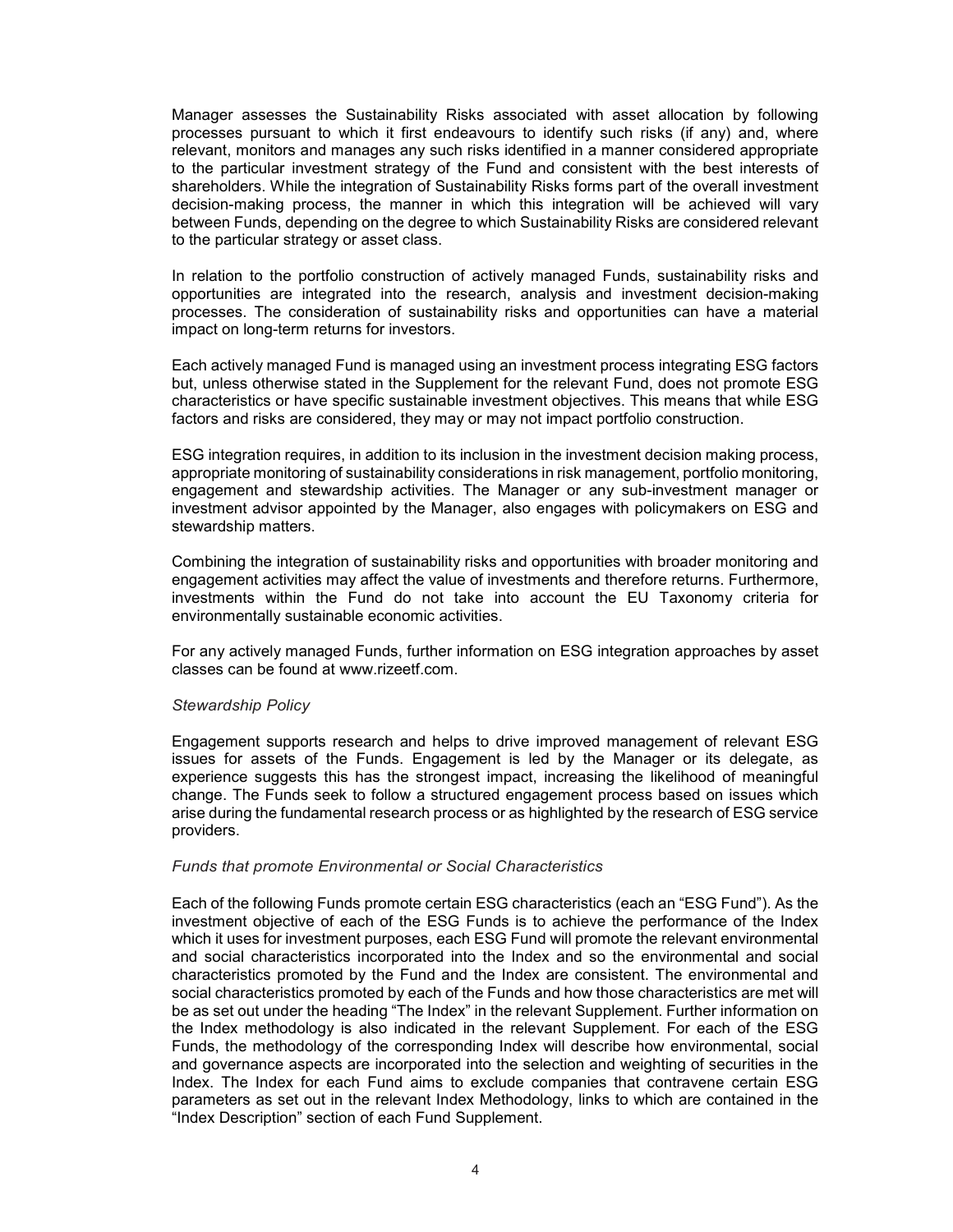Manager assesses the Sustainability Risks associated with asset allocation by following processes pursuant to which it first endeavours to identify such risks (if any) and, where relevant, monitors and manages any such risks identified in a manner considered appropriate to the particular investment strategy of the Fund and consistent with the best interests of shareholders. While the integration of Sustainability Risks forms part of the overall investment decision-making process, the manner in which this integration will be achieved will vary between Funds, depending on the degree to which Sustainability Risks are considered relevant to the particular strategy or asset class.

In relation to the portfolio construction of actively managed Funds, sustainability risks and opportunities are integrated into the research, analysis and investment decision-making processes. The consideration of sustainability risks and opportunities can have a material impact on long-term returns for investors.

Each actively managed Fund is managed using an investment process integrating ESG factors but, unless otherwise stated in the Supplement for the relevant Fund, does not promote ESG characteristics or have specific sustainable investment objectives. This means that while ESG factors and risks are considered, they may or may not impact portfolio construction.

ESG integration requires, in addition to its inclusion in the investment decision making process, appropriate monitoring of sustainability considerations in risk management, portfolio monitoring, engagement and stewardship activities. The Manager or any sub-investment manager or investment advisor appointed by the Manager, also engages with policymakers on ESG and stewardship matters.

Combining the integration of sustainability risks and opportunities with broader monitoring and engagement activities may affect the value of investments and therefore returns. Furthermore, investments within the Fund do not take into account the EU Taxonomy criteria for environmentally sustainable economic activities.

For any actively managed Funds, further information on ESG integration approaches by asset classes can be found at www.rizeetf.com.

#### *Stewardship Policy*

Engagement supports research and helps to drive improved management of relevant ESG issues for assets of the Funds. Engagement is led by the Manager or its delegate, as experience suggests this has the strongest impact, increasing the likelihood of meaningful change. The Funds seek to follow a structured engagement process based on issues which arise during the fundamental research process or as highlighted by the research of ESG service providers.

### *Funds that promote Environmental or Social Characteristics*

Each of the following Funds promote certain ESG characteristics (each an "ESG Fund"). As the investment objective of each of the ESG Funds is to achieve the performance of the Index which it uses for investment purposes, each ESG Fund will promote the relevant environmental and social characteristics incorporated into the Index and so the environmental and social characteristics promoted by the Fund and the Index are consistent. The environmental and social characteristics promoted by each of the Funds and how those characteristics are met will be as set out under the heading "The Index" in the relevant Supplement. Further information on the Index methodology is also indicated in the relevant Supplement. For each of the ESG Funds, the methodology of the corresponding Index will describe how environmental, social and governance aspects are incorporated into the selection and weighting of securities in the Index. The Index for each Fund aims to exclude companies that contravene certain ESG parameters as set out in the relevant Index Methodology, links to which are contained in the "Index Description" section of each Fund Supplement.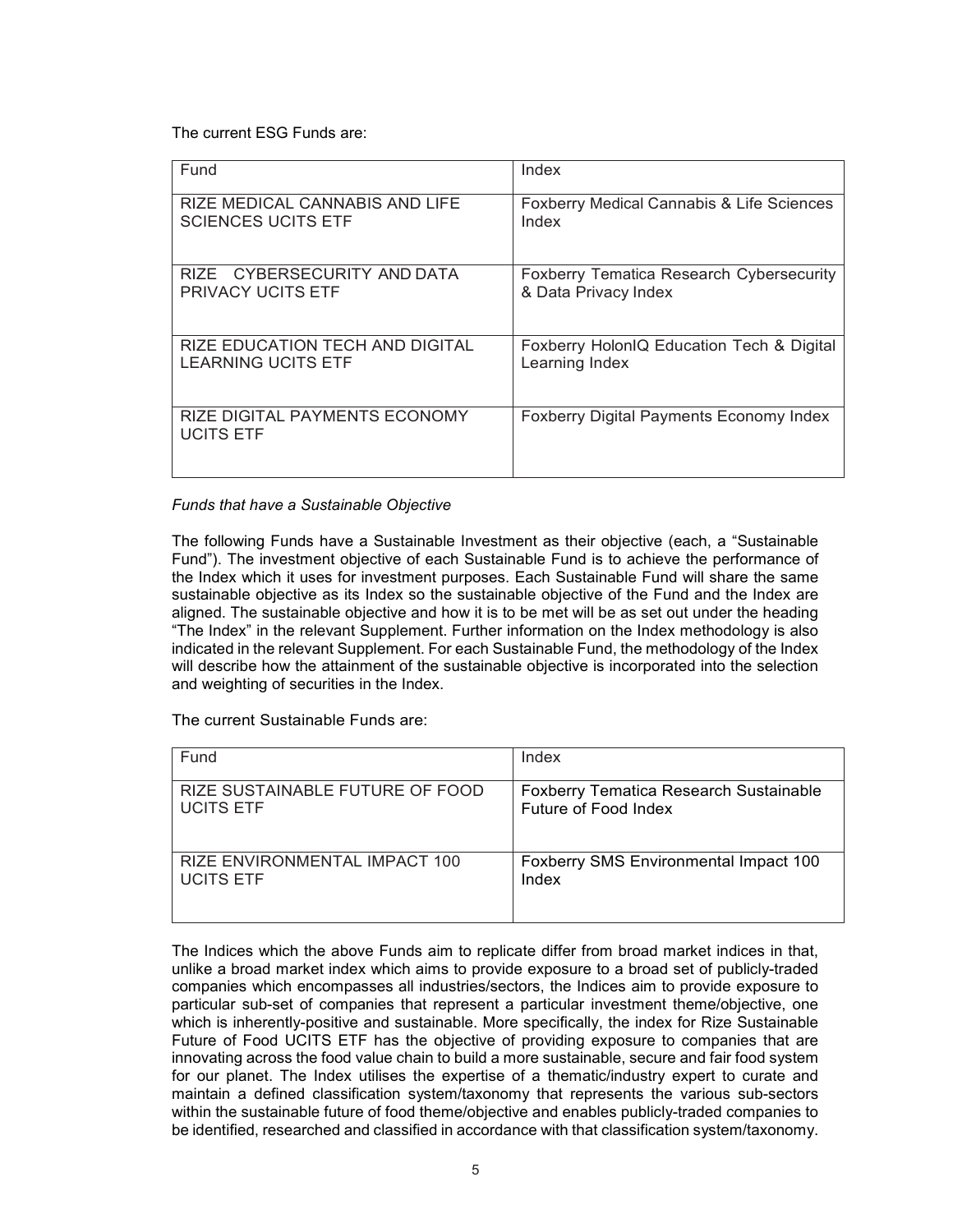The current ESG Funds are:

| Fund                                              | Index                                                |
|---------------------------------------------------|------------------------------------------------------|
| RIZE MEDICAL CANNABIS AND LIFE                    | <b>Foxberry Medical Cannabis &amp; Life Sciences</b> |
| <b>SCIENCES UCITS ETF</b>                         | Index                                                |
| RIZE CYBERSECURITY AND DATA                       | <b>Foxberry Tematica Research Cybersecurity</b>      |
| <b>PRIVACY UCITS ETF</b>                          | & Data Privacy Index                                 |
| <b>RIZE EDUCATION TECH AND DIGITAL</b>            | Foxberry HolonIQ Education Tech & Digital            |
| <b>LEARNING UCITS ETF</b>                         | Learning Index                                       |
| RIZE DIGITAL PAYMENTS ECONOMY<br><b>UCITS ETF</b> | <b>Foxberry Digital Payments Economy Index</b>       |

# *Funds that have a Sustainable Objective*

The following Funds have a Sustainable Investment as their objective (each, a "Sustainable Fund"). The investment objective of each Sustainable Fund is to achieve the performance of the Index which it uses for investment purposes. Each Sustainable Fund will share the same sustainable objective as its Index so the sustainable objective of the Fund and the Index are aligned. The sustainable objective and how it is to be met will be as set out under the heading "The Index" in the relevant Supplement. Further information on the Index methodology is also indicated in the relevant Supplement. For each Sustainable Fund, the methodology of the Index will describe how the attainment of the sustainable objective is incorporated into the selection and weighting of securities in the Index.

The current Sustainable Funds are:

| Fund                            | Index                                         |
|---------------------------------|-----------------------------------------------|
| RIZE SUSTAINABLE FUTURE OF FOOD | <b>Foxberry Tematica Research Sustainable</b> |
| <b>UCITS ETF</b>                | Future of Food Index                          |
| RIZE ENVIRONMENTAL IMPACT 100   | <b>Foxberry SMS Environmental Impact 100</b>  |
| <b>UCITS ETF</b>                | Index                                         |

The Indices which the above Funds aim to replicate differ from broad market indices in that, unlike a broad market index which aims to provide exposure to a broad set of publicly-traded companies which encompasses all industries/sectors, the Indices aim to provide exposure to particular sub-set of companies that represent a particular investment theme/objective, one which is inherently-positive and sustainable. More specifically, the index for Rize Sustainable Future of Food UCITS ETF has the objective of providing exposure to companies that are innovating across the food value chain to build a more sustainable, secure and fair food system for our planet. The Index utilises the expertise of a thematic/industry expert to curate and maintain a defined classification system/taxonomy that represents the various sub-sectors within the sustainable future of food theme/objective and enables publicly-traded companies to be identified, researched and classified in accordance with that classification system/taxonomy.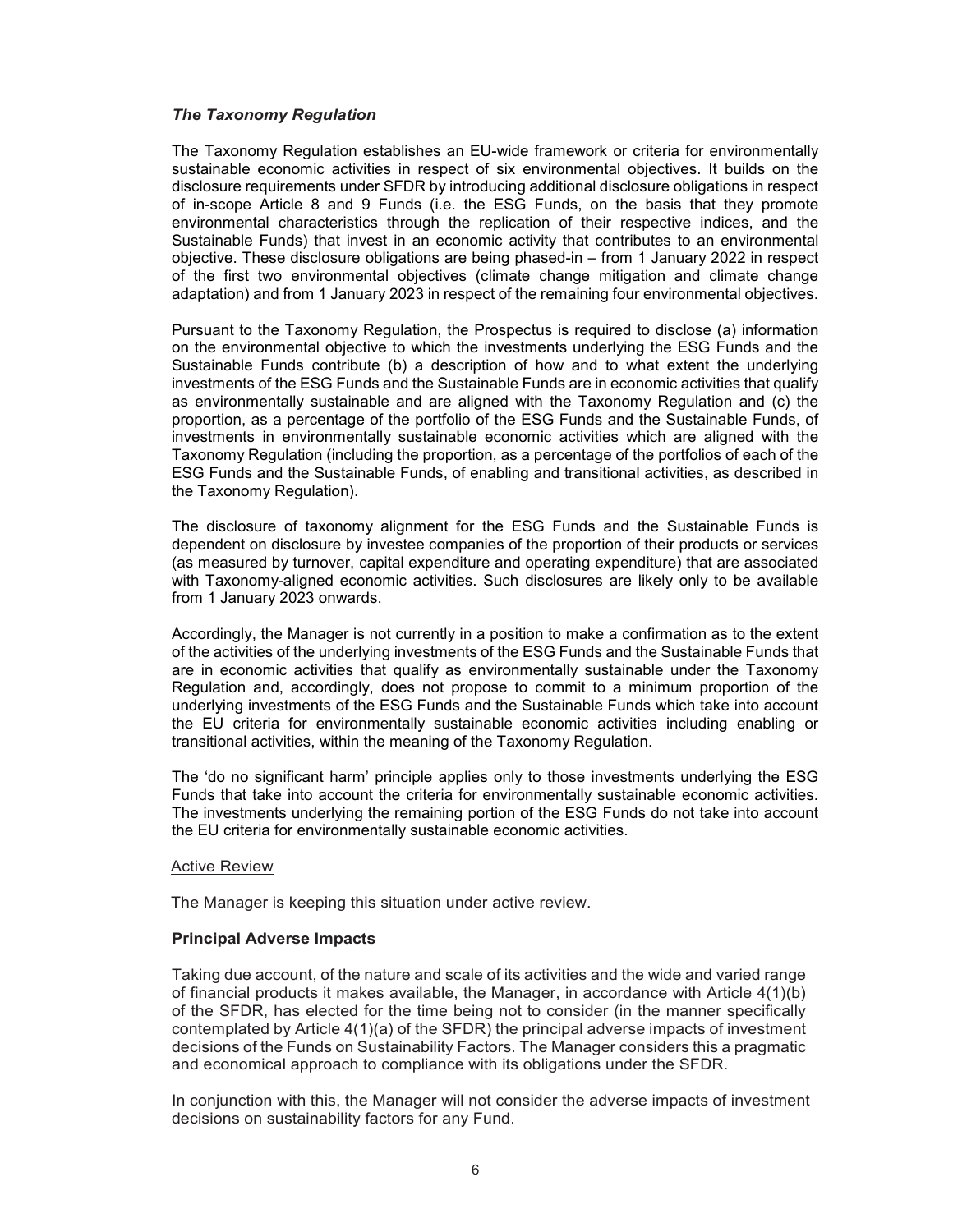### *The Taxonomy Regulation*

The Taxonomy Regulation establishes an EU-wide framework or criteria for environmentally sustainable economic activities in respect of six environmental objectives. It builds on the disclosure requirements under SFDR by introducing additional disclosure obligations in respect of in-scope Article 8 and 9 Funds (i.e. the ESG Funds, on the basis that they promote environmental characteristics through the replication of their respective indices, and the Sustainable Funds) that invest in an economic activity that contributes to an environmental objective. These disclosure obligations are being phased-in – from 1 January 2022 in respect of the first two environmental objectives (climate change mitigation and climate change adaptation) and from 1 January 2023 in respect of the remaining four environmental objectives.

Pursuant to the Taxonomy Regulation, the Prospectus is required to disclose (a) information on the environmental objective to which the investments underlying the ESG Funds and the Sustainable Funds contribute (b) a description of how and to what extent the underlying investments of the ESG Funds and the Sustainable Funds are in economic activities that qualify as environmentally sustainable and are aligned with the Taxonomy Regulation and (c) the proportion, as a percentage of the portfolio of the ESG Funds and the Sustainable Funds, of investments in environmentally sustainable economic activities which are aligned with the Taxonomy Regulation (including the proportion, as a percentage of the portfolios of each of the ESG Funds and the Sustainable Funds, of enabling and transitional activities, as described in the Taxonomy Regulation).

The disclosure of taxonomy alignment for the ESG Funds and the Sustainable Funds is dependent on disclosure by investee companies of the proportion of their products or services (as measured by turnover, capital expenditure and operating expenditure) that are associated with Taxonomy-aligned economic activities. Such disclosures are likely only to be available from 1 January 2023 onwards.

Accordingly, the Manager is not currently in a position to make a confirmation as to the extent of the activities of the underlying investments of the ESG Funds and the Sustainable Funds that are in economic activities that qualify as environmentally sustainable under the Taxonomy Regulation and, accordingly, does not propose to commit to a minimum proportion of the underlying investments of the ESG Funds and the Sustainable Funds which take into account the EU criteria for environmentally sustainable economic activities including enabling or transitional activities, within the meaning of the Taxonomy Regulation.

The 'do no significant harm' principle applies only to those investments underlying the ESG Funds that take into account the criteria for environmentally sustainable economic activities. The investments underlying the remaining portion of the ESG Funds do not take into account the EU criteria for environmentally sustainable economic activities.

#### Active Review

The Manager is keeping this situation under active review.

#### **Principal Adverse Impacts**

Taking due account, of the nature and scale of its activities and the wide and varied range of financial products it makes available, the Manager, in accordance with Article 4(1)(b) of the SFDR, has elected for the time being not to consider (in the manner specifically contemplated by Article 4(1)(a) of the SFDR) the principal adverse impacts of investment decisions of the Funds on Sustainability Factors. The Manager considers this a pragmatic and economical approach to compliance with its obligations under the SFDR.

In conjunction with this, the Manager will not consider the adverse impacts of investment decisions on sustainability factors for any Fund.